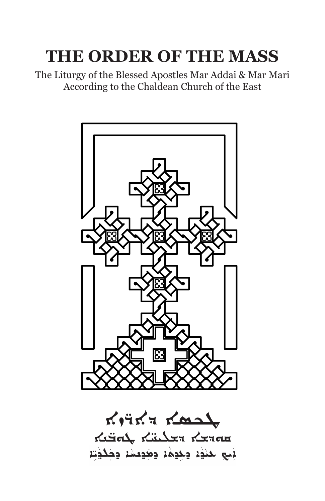# **THE ORDER OF THE MASS**

The Liturgy of the Blessed Apostles Mar Addai & Mar Mari According to the Chaldean Church of the East



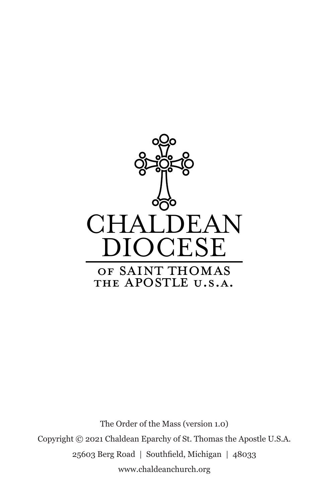

The Order of the Mass (version 1.0) Copyright © 2021 Chaldean Eparchy of St. Thomas the Apostle U.S.A. 25603 Berg Road | Southfield, Michigan | 48033 www.chaldeanchurch.org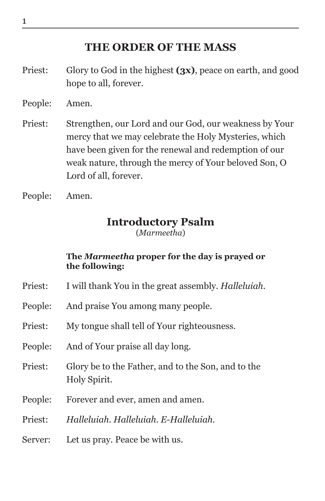### **THE ORDER OF THE MASS**

- Priest: Glory to God in the highest **(3x)**, peace on earth, and good hope to all, forever.
- People: Amen.
- Priest: Strengthen, our Lord and our God, our weakness by Your mercy that we may celebrate the Holy Mysteries, which have been given for the renewal and redemption of our weak nature, through the mercy of Your beloved Son, O Lord of all, forever.
- People: Amen.

### **Introductory Psalm**

(*Marmeetha*)

### **The** *Marmeetha* **proper for the day is prayed or the following:**

- Priest: I will thank You in the great assembly. *Halleluiah.*
- People: And praise You among many people.
- Priest: My tongue shall tell of Your righteousness.
- People: And of Your praise all day long.
- Priest: Glory be to the Father, and to the Son, and to the Holy Spirit.
- People: Forever and ever, amen and amen.
- Priest: *Halleluiah. Halleluiah. E-Halleluiah.*
- Server: Let us pray. Peace be with us.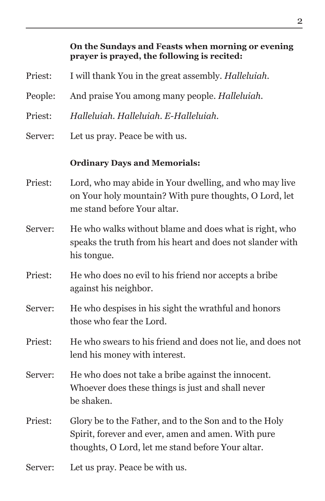# **On the Sundays and Feasts when morning or evening prayer is prayed, the following is recited:** Priest: I will thank You in the great assembly. *Halleluiah.* People: And praise You among many people. *Halleluiah.* Priest: *Halleluiah. Halleluiah. E-Halleluiah.* Server: Let us pray. Peace be with us. **Ordinary Days and Memorials:** Priest: Lord, who may abide in Your dwelling, and who may live on Your holy mountain? With pure thoughts, O Lord, let me stand before Your altar. Server: He who walks without blame and does what is right, who speaks the truth from his heart and does not slander with his tongue. Priest: He who does no evil to his friend nor accepts a bribe against his neighbor. Server: He who despises in his sight the wrathful and honors those who fear the Lord. Priest: He who swears to his friend and does not lie, and does not lend his money with interest. Server: He who does not take a bribe against the innocent. Whoever does these things is just and shall never be shaken. Priest: Glory be to the Father, and to the Son and to the Holy Spirit, forever and ever, amen and amen. With pure thoughts, O Lord, let me stand before Your altar. Server: Let us pray. Peace be with us.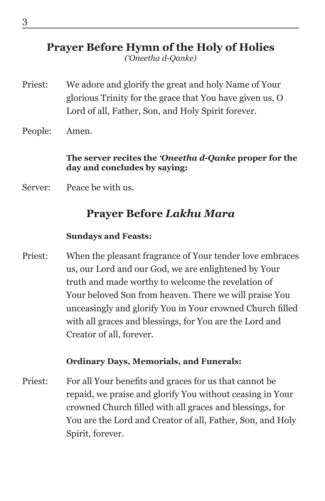### **Prayer Before Hymn of the Holy of Holies**

*('Oneetha d-Qanke)*

- Priest: We adore and glorify the great and holy Name of Your glorious Trinity for the grace that You have given us, O Lord of all, Father, Son, and Holy Spirit forever.
- People: Amen.

### **The server recites the** *'Oneetha d-Qanke* **proper for the day and concludes by saying:**

Server: Peace be with us.

### **Prayer Before** *Lakhu Mara*

### **Sundays and Feasts:**

Priest: When the pleasant fragrance of Your tender love embraces us, our Lord and our God, we are enlightened by Your truth and made worthy to welcome the revelation of Your beloved Son from heaven. There we will praise You unceasingly and glorify You in Your crowned Church filled with all graces and blessings, for You are the Lord and Creator of all, forever.

### **Ordinary Days, Memorials, and Funerals:**

Priest: For all Your benefits and graces for us that cannot be repaid, we praise and glorify You without ceasing in Your crowned Church filled with all graces and blessings, for You are the Lord and Creator of all, Father, Son, and Holy Spirit, forever.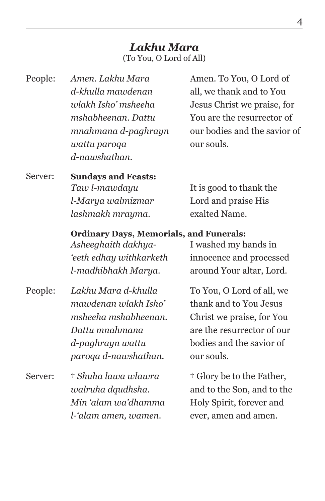### *Lakhu Mara* (To You, O Lord of All)

| People: | Amen. Lakhu Mara                               | Amen. To You, O Lord of        |  |
|---------|------------------------------------------------|--------------------------------|--|
|         | d-khulla mawdenan                              | all, we thank and to You       |  |
|         | wlakh Isho' msheeha                            | Jesus Christ we praise, for    |  |
|         | mshabheenan. Dattu                             | You are the resurrector of     |  |
|         | mnahmana d-paghrayn                            | our bodies and the savior of   |  |
|         | wattu paroqa                                   | our souls.                     |  |
|         | d-nawshathan.                                  |                                |  |
| Server: | <b>Sundays and Feasts:</b>                     |                                |  |
|         | Taw l-mawdayu                                  | It is good to thank the        |  |
|         | l-Marya walmizmar                              | Lord and praise His            |  |
|         | lashmakh mrayma.                               | exalted Name.                  |  |
|         | <b>Ordinary Days, Memorials, and Funerals:</b> |                                |  |
|         | Asheeghaith dakhya-                            | I washed my hands in           |  |
|         | 'eeth edhay withkarketh                        | innocence and processed        |  |
|         | l-madhibhakh Marya.                            | around Your altar, Lord.       |  |
| Pannla  | Lakhu Mara d-khulla                            | $T_0 V_{011}$ O Lord of all we |  |

- People: *Lakhu Mara d-khulla mawdenan wlakh Isho' msheeha mshabheenan. Dattu mnahmana d-paghrayn wattu paroqa d-nawshathan.*
- Server: † *Shuha lawa wlawra walruha dqudhsha. Min 'alam wa'dhamma l-'alam amen, wamen.*

To You, O Lord of all, we thank and to You Jesus Christ we praise, for You are the resurrector of our bodies and the savior of our souls.

† Glory be to the Father, and to the Son, and to the Holy Spirit, forever and ever, amen and amen.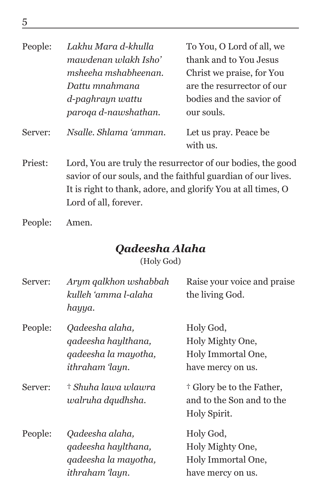| People: | Lakhu Mara d-khulla                                                                                                                                                                                                  | To You, O Lord of all, we          |
|---------|----------------------------------------------------------------------------------------------------------------------------------------------------------------------------------------------------------------------|------------------------------------|
|         | mawdenan wlakh Isho'                                                                                                                                                                                                 | thank and to You Jesus             |
|         | msheeha mshabheenan.                                                                                                                                                                                                 | Christ we praise, for You          |
|         | Dattu mnahmana                                                                                                                                                                                                       | are the resurrector of our         |
|         | d-paghrayn wattu                                                                                                                                                                                                     | bodies and the savior of           |
|         | paroqa d-nawshathan.                                                                                                                                                                                                 | our souls.                         |
| Server: | Nsalle. Shlama 'amman.                                                                                                                                                                                               | Let us pray. Peace be.<br>with us. |
| Priest: | Lord, You are truly the resurrector of our bodies, the good<br>savior of our souls, and the faithful guardian of our lives.<br>It is right to thank, adore, and glorify You at all times, O<br>Lord of all, forever. |                                    |
| People: | Amen.                                                                                                                                                                                                                |                                    |

### *Qadeesha Alaha*

(Holy God)

| Server: | Arym qalkhon wshabbah<br>kulleh 'amma l-alaha<br>hayya.                           | Raise your voice and praise<br>the living God.                                    |
|---------|-----------------------------------------------------------------------------------|-----------------------------------------------------------------------------------|
| People: | Qadeesha alaha,<br>qadeesha haylthana,<br>qadeesha la mayotha,<br>ithraham 'layn. | Holy God,<br>Holy Mighty One,<br>Holy Immortal One,<br>have mercy on us.          |
| Server: | † Shuha lawa wlawra<br>walruha dqudhsha.                                          | <sup>†</sup> Glory be to the Father,<br>and to the Son and to the<br>Holy Spirit. |
| People: | Qadeesha alaha,<br>qadeesha haylthana,<br>qadeesha la mayotha,<br>ithraham ʻlayn. | Holy God,<br>Holy Mighty One,<br>Holy Immortal One,<br>have mercy on us.          |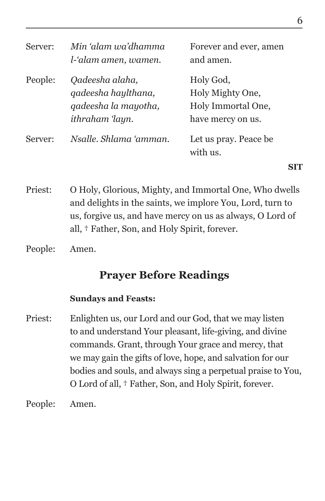| Server: | Min 'alam wa'dhamma<br>l-'alam amen, wamen.                                              | Forever and ever, amen<br>and amen.                                      |  |
|---------|------------------------------------------------------------------------------------------|--------------------------------------------------------------------------|--|
| People: | Qadeesha alaha,<br>qadeesha haylthana,<br>qadeesha la mayotha,<br><i>ithraham</i> 'layn. | Holy God,<br>Holy Mighty One,<br>Holy Immortal One,<br>have mercy on us. |  |
| Server: | Nsalle, Shlama 'amman,                                                                   | Let us pray. Peace be.<br>with us.                                       |  |

Priest: O Holy, Glorious, Mighty, and Immortal One, Who dwells and delights in the saints, we implore You, Lord, turn to us, forgive us, and have mercy on us as always, O Lord of all, † Father, Son, and Holy Spirit, forever.

People: Amen.

### **Prayer Before Readings**

### **Sundays and Feasts:**

Priest: Enlighten us, our Lord and our God, that we may listen to and understand Your pleasant, life-giving, and divine commands. Grant, through Your grace and mercy, that we may gain the gifts of love, hope, and salvation for our bodies and souls, and always sing a perpetual praise to You, O Lord of all, † Father, Son, and Holy Spirit, forever.

People: Amen.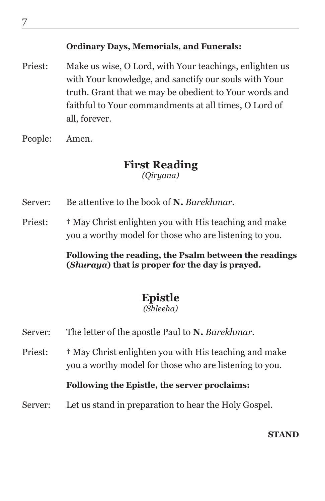### **Ordinary Days, Memorials, and Funerals:**

- Priest: Make us wise, O Lord, with Your teachings, enlighten us with Your knowledge, and sanctify our souls with Your truth. Grant that we may be obedient to Your words and faithful to Your commandments at all times, O Lord of all, forever.
- People: Amen.

## **First Reading**

*(Qiryana)*

- Server: Be attentive to the book of **N.** *Barekhmar*.
- Priest:  $\uparrow$  May Christ enlighten you with His teaching and make you a worthy model for those who are listening to you.

**Following the reading, the Psalm between the readings (***Shuraya***) that is proper for the day is prayed.**

### **Epistle**

### *(Shleeha)*

- Server: The letter of the apostle Paul to **N.** *Barekhmar.*
- Priest:  $\uparrow$  May Christ enlighten you with His teaching and make you a worthy model for those who are listening to you.

### **Following the Epistle, the server proclaims:**

Server: Let us stand in preparation to hear the Holy Gospel.

**STAND**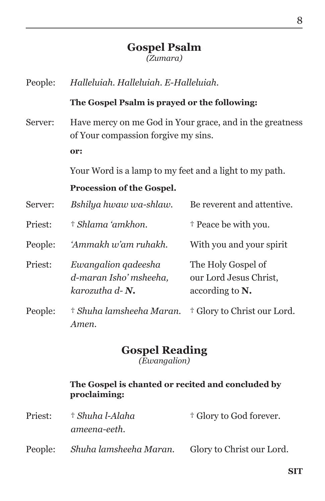### **Gospel Psalm** *(Zumara)*

People: *Halleluiah. Halleluiah. E-Halleluiah.*

#### **The Gospel Psalm is prayed or the following:**

Server: Have mercy on me God in Your grace, and in the greatness of Your compassion forgive my sins. **or:**

Your Word is a lamp to my feet and a light to my path.

### **Procession of the Gospel.**

| Server: | Bshilya hwaw wa-shlaw.                                                 | Be reverent and attentive.                                         |
|---------|------------------------------------------------------------------------|--------------------------------------------------------------------|
| Priest: | † Shlama 'amkhon.                                                      | <sup>†</sup> Peace be with you.                                    |
| People: | 'Ammakh w'am ruhakh.                                                   | With you and your spirit                                           |
| Priest: | Ewangalion gadeesha<br>d-maran Isho' msheeha,<br>karozutha $d$ - $N$ . | The Holy Gospel of<br>our Lord Jesus Christ,<br>according to $N$ . |
| People: | † Shuha lamsheeha Maran.<br>Amen.                                      | <sup>†</sup> Glory to Christ our Lord.                             |

#### **Gospel Reading** *(Ewangalion)*

### **The Gospel is chanted or recited and concluded by proclaiming:**

| Priest: | † Shuha l-Alaha        | <sup>†</sup> Glory to God forever. |
|---------|------------------------|------------------------------------|
|         | ameena-eeth.           |                                    |
| People: | Shuha lamsheeha Maran. | Glory to Christ our Lord.          |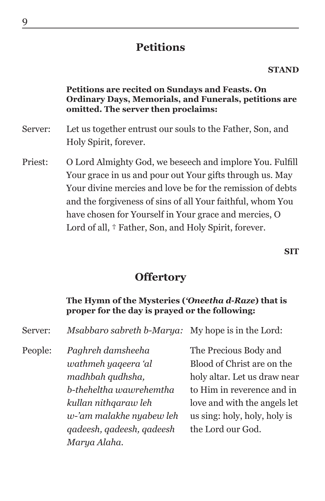### **Petitions**

#### **STAND**

#### **Petitions are recited on Sundays and Feasts. On Ordinary Days, Memorials, and Funerals, petitions are omitted. The server then proclaims:**

- Server: Let us together entrust our souls to the Father, Son, and Holy Spirit, forever.
- Priest: O Lord Almighty God, we beseech and implore You. Fulfill Your grace in us and pour out Your gifts through us. May Your divine mercies and love be for the remission of debts and the forgiveness of sins of all Your faithful, whom You have chosen for Yourself in Your grace and mercies, O Lord of all,  $\dagger$  Father, Son, and Holy Spirit, forever.

**SIT**

### **Offertory**

### **The Hymn of the Mysteries (***'Oneetha d-Raze***) that is proper for the day is prayed or the following:**

| Msabbaro sabreth b-Marya: My hope is in the Lord:<br>Server: |  |
|--------------------------------------------------------------|--|
|--------------------------------------------------------------|--|

People: *Paghreh damsheeha wathmeh yaqeera 'al madhbah qudhsha, b-theheltha wawrehemtha kullan nithqaraw leh w-'am malakhe nyabew leh qadeesh, qadeesh, qadeesh Marya Alaha.*

The Precious Body and Blood of Christ are on the holy altar. Let us draw near to Him in reverence and in love and with the angels let us sing: holy, holy, holy is the Lord our God.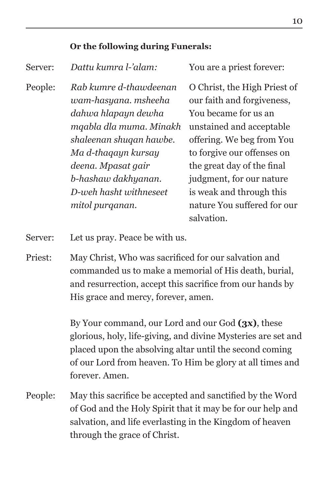### **Or the following during Funerals:**

| Server: | Dattu kumra l-'alam:                                                                                                        | You are a priest forever:                                                                                                                                     |
|---------|-----------------------------------------------------------------------------------------------------------------------------|---------------------------------------------------------------------------------------------------------------------------------------------------------------|
| People: | Rab kumre d-thawdeenan<br>wam-hasyana. msheeha<br>dahwa hlapayn dewha<br>mqabla dla muma. Minakh<br>shaleenan shuqan hawbe. | O Christ, the High Priest of<br>our faith and forgiveness,<br>You became for us an<br>unstained and acceptable<br>offering. We beg from You                   |
|         | Ma d-thaqayn kursay<br>deena. Mpasat gair<br>b-hashaw dakhyanan.<br>D-weh hasht withneseet<br>mitol purganan.               | to forgive our offenses on<br>the great day of the final<br>judgment, for our nature<br>is weak and through this<br>nature You suffered for our<br>salvation. |

Server: Let us pray. Peace be with us.

Priest: May Christ, Who was sacrificed for our salvation and commanded us to make a memorial of His death, burial, and resurrection, accept this sacrifice from our hands by His grace and mercy, forever, amen.

> By Your command, our Lord and our God **(3x)**, these glorious, holy, life-giving, and divine Mysteries are set and placed upon the absolving altar until the second coming of our Lord from heaven. To Him be glory at all times and forever. Amen.

People: May this sacrifice be accepted and sanctified by the Word of God and the Holy Spirit that it may be for our help and salvation, and life everlasting in the Kingdom of heaven through the grace of Christ.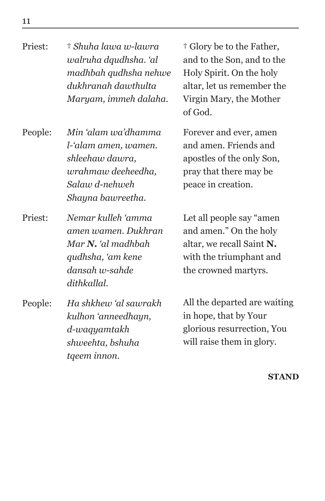Priest: † *Shuha lawa w-lawra walruha dqudhsha. 'al madhbah qudhsha nehwe dukhranah dawthulta Maryam, immeh dalaha.*

People: *Min 'alam wa'dhamma l-'alam amen, wamen. shleehaw dawra, wrahmaw deeheedha, Salaw d-nehweh Shayna bawreetha.*

Priest: *Nemar kulleh 'amma amen wamen. Dukhran Mar N. 'al madhbah qudhsha, 'am kene dansah w-sahde dithkallal.*

People: *Ha shkhew 'al sawrakh kulhon 'anneedhayn, d-waqyamtakh shweehta, bshuha tqeem innon.*

† Glory be to the Father, and to the Son, and to the Holy Spirit. On the holy altar, let us remember the Virgin Mary, the Mother of God.

Forever and ever, amen and amen. Friends and apostles of the only Son, pray that there may be peace in creation.

Let all people say "amen and amen." On the holy altar, we recall Saint **N.** with the triumphant and the crowned martyrs.

All the departed are waiting in hope, that by Your glorious resurrection, You will raise them in glory.

**STAND**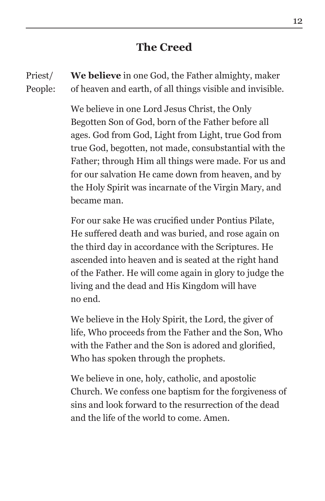### **The Creed**

Priest/ People: **We believe** in one God, the Father almighty, maker of heaven and earth, of all things visible and invisible.

> We believe in one Lord Jesus Christ, the Only Begotten Son of God, born of the Father before all ages. God from God, Light from Light, true God from true God, begotten, not made, consubstantial with the Father; through Him all things were made. For us and for our salvation He came down from heaven, and by the Holy Spirit was incarnate of the Virgin Mary, and became man.

> For our sake He was crucified under Pontius Pilate, He suffered death and was buried, and rose again on the third day in accordance with the Scriptures. He ascended into heaven and is seated at the right hand of the Father. He will come again in glory to judge the living and the dead and His Kingdom will have no end.

> We believe in the Holy Spirit, the Lord, the giver of life, Who proceeds from the Father and the Son, Who with the Father and the Son is adored and glorified, Who has spoken through the prophets.

We believe in one, holy, catholic, and apostolic Church. We confess one baptism for the forgiveness of sins and look forward to the resurrection of the dead and the life of the world to come. Amen.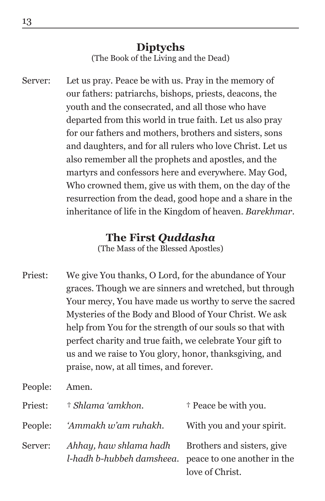### **Diptychs** (The Book of the Living and the Dead)

Server: Let us pray. Peace be with us. Pray in the memory of our fathers: patriarchs, bishops, priests, deacons, the youth and the consecrated, and all those who have departed from this world in true faith. Let us also pray for our fathers and mothers, brothers and sisters, sons and daughters, and for all rulers who love Christ. Let us also remember all the prophets and apostles, and the martyrs and confessors here and everywhere. May God, Who crowned them, give us with them, on the day of the resurrection from the dead, good hope and a share in the inheritance of life in the Kingdom of heaven. *Barekhmar*.

### **The First** *Quddasha*

(The Mass of the Blessed Apostles)

Priest: We give You thanks, O Lord, for the abundance of Your graces. Though we are sinners and wretched, but through Your mercy, You have made us worthy to serve the sacred Mysteries of the Body and Blood of Your Christ. We ask help from You for the strength of our souls so that with perfect charity and true faith, we celebrate Your gift to us and we raise to You glory, honor, thanksgiving, and praise, now, at all times, and forever.

People: Amen.

| Priest: | † Shlama 'amkhon.                                                                      | <sup>†</sup> Peace be with you.               |
|---------|----------------------------------------------------------------------------------------|-----------------------------------------------|
| People: | 'Ammakh w'am ruhakh.                                                                   | With you and your spirit.                     |
| Server: | Ahhay, haw shlama hadh<br><i>l-hadh b-hubbeh damsheed.</i> peace to one another in the | Brothers and sisters, give<br>love of Christ. |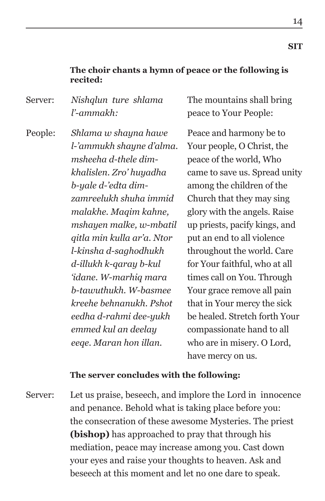### **The choir chants a hymn of peace or the following is recited:**

Server: *Nishqlun ture shlama l'-ammakh:*

The mountains shall bring peace to Your People:

People: *Shlama w shayna hawe l-'ammukh shayne d'alma. msheeha d-thele dimkhalislen. Zro' huyadha b-yale d-'edta dimzamreelukh shuha immid malakhe. Maqim kahne, mshayen malke, w-mbatil qitla min kulla ar'a. Ntor l-kinsha d-saghodhukh d-illukh k-qaray b-kul 'idane. W-marhiq mara b-tawuthukh. W-basmee kreehe behnanukh. Pshot eedha d-rahmi dee-yukh emmed kul an deelay eeqe. Maran hon illan.*

Peace and harmony be to Your people, O Christ, the peace of the world, Who came to save us. Spread unity among the children of the Church that they may sing glory with the angels. Raise up priests, pacify kings, and put an end to all violence throughout the world. Care for Your faithful, who at all times call on You. Through Your grace remove all pain that in Your mercy the sick be healed. Stretch forth Your compassionate hand to all who are in misery. O Lord, have mercy on us.

### **The server concludes with the following:**

Server: Let us praise, beseech, and implore the Lord in innocence and penance. Behold what is taking place before you: the consecration of these awesome Mysteries. The priest **(bishop)** has approached to pray that through his mediation, peace may increase among you. Cast down your eyes and raise your thoughts to heaven. Ask and beseech at this moment and let no one dare to speak.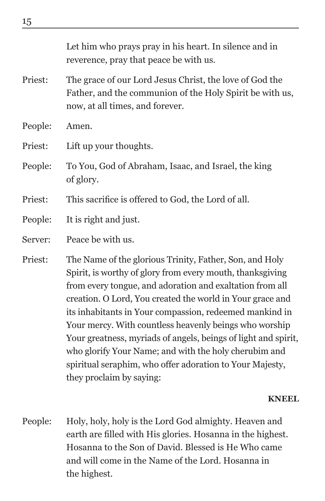|         | Let him who prays pray in his heart. In silence and in<br>reverence, pray that peace be with us.                                                                                                                                              |
|---------|-----------------------------------------------------------------------------------------------------------------------------------------------------------------------------------------------------------------------------------------------|
| Priest: | The grace of our Lord Jesus Christ, the love of God the<br>Father, and the communion of the Holy Spirit be with us,<br>now, at all times, and forever.                                                                                        |
| People: | Amen.                                                                                                                                                                                                                                         |
| Priest: | Lift up your thoughts.                                                                                                                                                                                                                        |
| People: | To You, God of Abraham, Isaac, and Israel, the king<br>of glory.                                                                                                                                                                              |
| Priest: | This sacrifice is offered to God, the Lord of all.                                                                                                                                                                                            |
| People: | It is right and just.                                                                                                                                                                                                                         |
| Server: | Peace be with us.                                                                                                                                                                                                                             |
| Priest: | The Name of the glorious Trinity, Father, Son, and Holy<br>Spirit, is worthy of glory from every mouth, thanksgiving<br>from every tongue, and adoration and exaltation from all<br>creation. O Lord, You created the world in Your grace and |

its inhabitants in Your compassion, redeemed mankind in Your mercy. With countless heavenly beings who worship Your greatness, myriads of angels, beings of light and spirit, who glorify Your Name; and with the holy cherubim and spiritual seraphim, who offer adoration to Your Majesty,

#### **KNEEL**

People: Holy, holy, holy is the Lord God almighty. Heaven and earth are filled with His glories. Hosanna in the highest. Hosanna to the Son of David. Blessed is He Who came and will come in the Name of the Lord. Hosanna in the highest.

they proclaim by saying: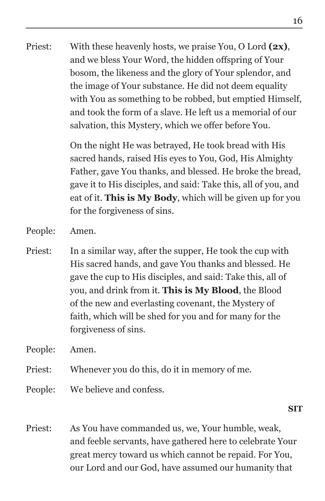Priest: With these heavenly hosts, we praise You, O Lord **(2x)**, and we bless Your Word, the hidden offspring of Your bosom, the likeness and the glory of Your splendor, and the image of Your substance. He did not deem equality with You as something to be robbed, but emptied Himself, and took the form of a slave. He left us a memorial of our salvation, this Mystery, which we offer before You.

> On the night He was betrayed, He took bread with His sacred hands, raised His eyes to You, God, His Almighty Father, gave You thanks, and blessed. He broke the bread, gave it to His disciples, and said: Take this, all of you, and eat of it. **This is My Body**, which will be given up for you for the forgiveness of sins.

People: Amen.

Priest: In a similar way, after the supper, He took the cup with His sacred hands, and gave You thanks and blessed. He gave the cup to His disciples, and said: Take this, all of you, and drink from it. **This is My Blood**, the Blood of the new and everlasting covenant, the Mystery of faith, which will be shed for you and for many for the forgiveness of sins.

People: Amen.

- Priest: Whenever you do this, do it in memory of me.
- People: We believe and confess.

**SIT**

Priest: As You have commanded us, we, Your humble, weak, and feeble servants, have gathered here to celebrate Your great mercy toward us which cannot be repaid. For You, our Lord and our God, have assumed our humanity that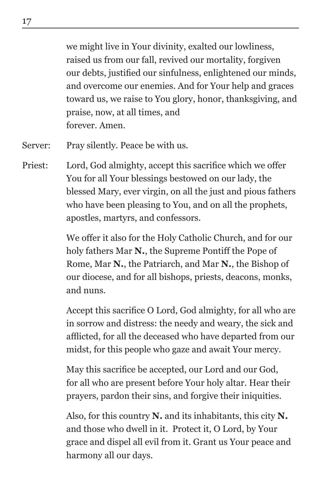we might live in Your divinity, exalted our lowliness, raised us from our fall, revived our mortality, forgiven our debts, justified our sinfulness, enlightened our minds, and overcome our enemies. And for Your help and graces toward us, we raise to You glory, honor, thanksgiving, and praise, now, at all times, and forever. Amen.

- Server: Pray silently. Peace be with us.
- Priest: Lord, God almighty, accept this sacrifice which we offer You for all Your blessings bestowed on our lady, the blessed Mary, ever virgin, on all the just and pious fathers who have been pleasing to You, and on all the prophets, apostles, martyrs, and confessors.

We offer it also for the Holy Catholic Church, and for our holy fathers Mar **N.**, the Supreme Pontiff the Pope of Rome, Mar **N.**, the Patriarch, and Mar **N.**, the Bishop of our diocese, and for all bishops, priests, deacons, monks, and nuns.

Accept this sacrifice O Lord, God almighty, for all who are in sorrow and distress: the needy and weary, the sick and afflicted, for all the deceased who have departed from our midst, for this people who gaze and await Your mercy.

May this sacrifice be accepted, our Lord and our God, for all who are present before Your holy altar. Hear their prayers, pardon their sins, and forgive their iniquities.

Also, for this country **N.** and its inhabitants, this city **N.** and those who dwell in it. Protect it, O Lord, by Your grace and dispel all evil from it. Grant us Your peace and harmony all our days.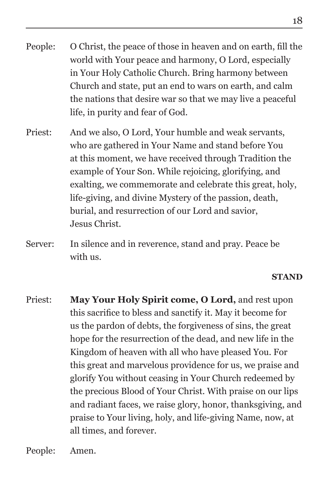- People: O Christ, the peace of those in heaven and on earth, fill the world with Your peace and harmony, O Lord, especially in Your Holy Catholic Church. Bring harmony between Church and state, put an end to wars on earth, and calm the nations that desire war so that we may live a peaceful life, in purity and fear of God.
- Priest: And we also, O Lord, Your humble and weak servants, who are gathered in Your Name and stand before You at this moment, we have received through Tradition the example of Your Son. While rejoicing, glorifying, and exalting, we commemorate and celebrate this great, holy, life-giving, and divine Mystery of the passion, death, burial, and resurrection of our Lord and savior, Jesus Christ.
- Server: In silence and in reverence, stand and pray. Peace be with us.

### **STAND**

Priest: **May Your Holy Spirit come, O Lord,** and rest upon this sacrifice to bless and sanctify it. May it become for us the pardon of debts, the forgiveness of sins, the great hope for the resurrection of the dead, and new life in the Kingdom of heaven with all who have pleased You. For this great and marvelous providence for us, we praise and glorify You without ceasing in Your Church redeemed by the precious Blood of Your Christ. With praise on our lips and radiant faces, we raise glory, honor, thanksgiving, and praise to Your living, holy, and life-giving Name, now, at all times, and forever.

People: Amen.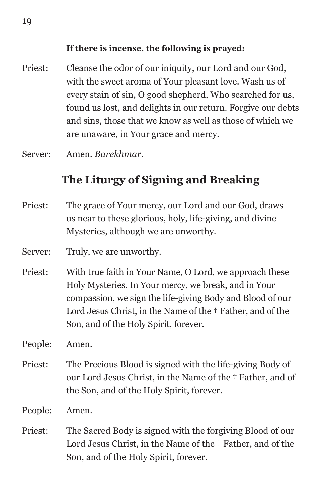### **If there is incense, the following is prayed:**

- Priest: Cleanse the odor of our iniquity, our Lord and our God, with the sweet aroma of Your pleasant love. Wash us of every stain of sin, O good shepherd, Who searched for us, found us lost, and delights in our return. Forgive our debts and sins, those that we know as well as those of which we are unaware, in Your grace and mercy.
- Server: Amen. *Barekhmar*.

### **The Liturgy of Signing and Breaking**

- Priest: The grace of Your mercy, our Lord and our God, draws us near to these glorious, holy, life-giving, and divine Mysteries, although we are unworthy.
- Server: Truly, we are unworthy.
- Priest: With true faith in Your Name, O Lord, we approach these Holy Mysteries. In Your mercy, we break, and in Your compassion, we sign the life-giving Body and Blood of our Lord Jesus Christ, in the Name of the † Father, and of the Son, and of the Holy Spirit, forever.

People: Amen.

Priest: The Precious Blood is signed with the life-giving Body of our Lord Jesus Christ, in the Name of the † Father, and of the Son, and of the Holy Spirit, forever.

People: Amen.

Priest: The Sacred Body is signed with the forgiving Blood of our Lord Jesus Christ, in the Name of the † Father, and of the Son, and of the Holy Spirit, forever.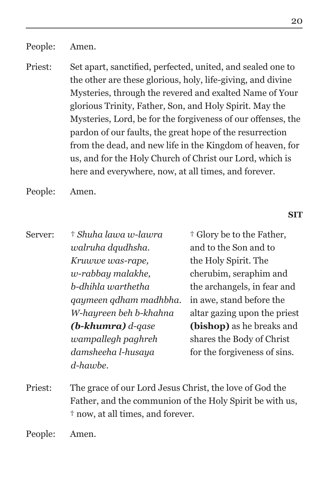People: Amen.

Priest: Set apart, sanctified, perfected, united, and sealed one to the other are these glorious, holy, life-giving, and divine Mysteries, through the revered and exalted Name of Your glorious Trinity, Father, Son, and Holy Spirit. May the Mysteries, Lord, be for the forgiveness of our offenses, the pardon of our faults, the great hope of the resurrection from the dead, and new life in the Kingdom of heaven, for us, and for the Holy Church of Christ our Lord, which is here and everywhere, now, at all times, and forever.

People: Amen.

#### **SIT**

| Server: | † Shuha lawa w-lawra    | <sup>†</sup> Glory be to the Father, |
|---------|-------------------------|--------------------------------------|
|         | walruha dqudhsha.       | and to the Son and to                |
|         | Kruwwe was-rape,        | the Holy Spirit. The                 |
|         | w-rabbay malakhe,       | cherubim, seraphim and               |
|         | b-dhihla warthetha      | the archangels, in fear and          |
|         | qaymeen qdham madhbha.  | in awe, stand before the             |
|         | W-hayreen beh b-khahna  | altar gazing upon the priest         |
|         | $(b - khumra) d - qase$ | <b>(bishop)</b> as he breaks and     |
|         | wampallegh paghreh      | shares the Body of Christ            |
|         | damsheeha l-husaya      | for the forgiveness of sins.         |
|         | d-hawbe.                |                                      |

Priest: The grace of our Lord Jesus Christ, the love of God the Father, and the communion of the Holy Spirit be with us, † now, at all times, and forever.

People: Amen.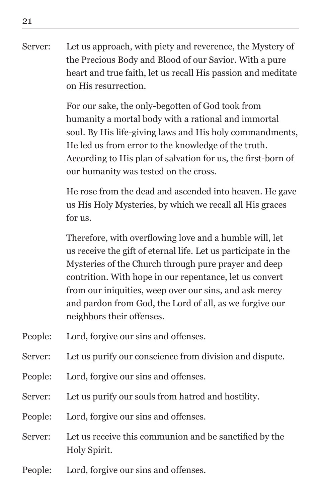Server: Let us approach, with piety and reverence, the Mystery of the Precious Body and Blood of our Savior. With a pure heart and true faith, let us recall His passion and meditate on His resurrection.

> For our sake, the only-begotten of God took from humanity a mortal body with a rational and immortal soul. By His life-giving laws and His holy commandments, He led us from error to the knowledge of the truth. According to His plan of salvation for us, the first-born of our humanity was tested on the cross.

> He rose from the dead and ascended into heaven. He gave us His Holy Mysteries, by which we recall all His graces for us.

Therefore, with overflowing love and a humble will, let us receive the gift of eternal life. Let us participate in the Mysteries of the Church through pure prayer and deep contrition. With hope in our repentance, let us convert from our iniquities, weep over our sins, and ask mercy and pardon from God, the Lord of all, as we forgive our neighbors their offenses.

- People: Lord, forgive our sins and offenses.
- Server: Let us purify our conscience from division and dispute.
- People: Lord, forgive our sins and offenses.
- Server: Let us purify our souls from hatred and hostility.
- People: Lord, forgive our sins and offenses.
- Server: Let us receive this communion and be sanctified by the Holy Spirit.
- People: Lord, forgive our sins and offenses.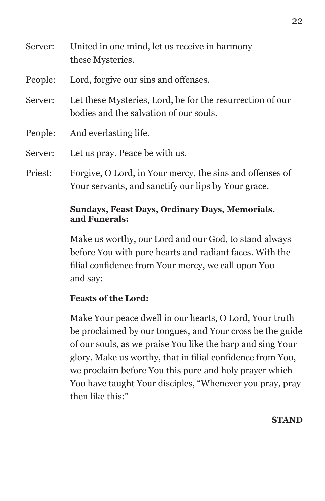| Server: | United in one mind, let us receive in harmony<br>these Mysteries.                                               |
|---------|-----------------------------------------------------------------------------------------------------------------|
| People: | Lord, forgive our sins and offenses.                                                                            |
| Server: | Let these Mysteries, Lord, be for the resurrection of our<br>bodies and the salvation of our souls.             |
| People: | And everlasting life.                                                                                           |
| Server: | Let us pray. Peace be with us.                                                                                  |
| Priest: | Forgive, O Lord, in Your mercy, the sins and offenses of<br>Your servants, and sanctify our lips by Your grace. |

### **Sundays, Feast Days, Ordinary Days, Memorials, and Funerals:**

Make us worthy, our Lord and our God, to stand always before You with pure hearts and radiant faces. With the filial confidence from Your mercy, we call upon You and say:

### **Feasts of the Lord:**

Make Your peace dwell in our hearts, O Lord, Your truth be proclaimed by our tongues, and Your cross be the guide of our souls, as we praise You like the harp and sing Your glory. Make us worthy, that in filial confidence from You, we proclaim before You this pure and holy prayer which You have taught Your disciples, "Whenever you pray, pray then like this:"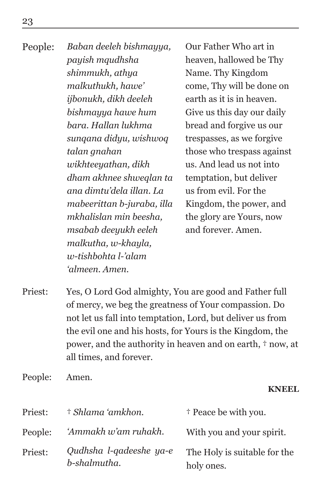People: *Baban deeleh bishmayya, payish mqudhsha shimmukh, athya malkuthukh, hawe' ijbonukh, dikh deeleh bishmayya hawe hum bara. Hallan lukhma sunqana didyu, wishwoq talan gnahan wikhteeyathan, dikh dham akhnee shweqlan ta ana dimtu'dela illan. La mabeerittan b-juraba, illa mkhalislan min beesha, msabab deeyukh eeleh malkutha, w-khayla, w-tishbohta l-'alam 'almeen. Amen.*

Our Father Who art in heaven, hallowed be Thy Name. Thy Kingdom come, Thy will be done on earth as it is in heaven. Give us this day our daily bread and forgive us our trespasses, as we forgive those who trespass against us. And lead us not into temptation, but deliver us from evil. For the Kingdom, the power, and the glory are Yours, now and forever. Amen.

- Priest: Yes, O Lord God almighty, You are good and Father full of mercy, we beg the greatness of Your compassion. Do not let us fall into temptation, Lord, but deliver us from the evil one and his hosts, for Yours is the Kingdom, the power, and the authority in heaven and on earth, † now, at all times, and forever.
- People: Amen.

### **KNEEL**

| Priest: | † Shlama 'amkhon.                       | <sup>†</sup> Peace be with you.            |
|---------|-----------------------------------------|--------------------------------------------|
| People: | 'Ammakh w'am ruhakh.                    | With you and your spirit.                  |
| Priest: | Qudhsha l-qadeeshe ya-e<br>b-shalmutha. | The Holy is suitable for the<br>holy ones. |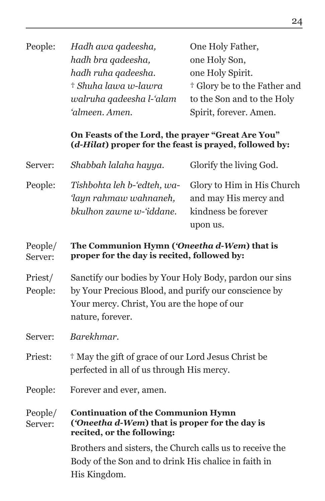| Hadh awa qadeesha,       | One Holy Father,                        |
|--------------------------|-----------------------------------------|
| hadh bra gadeesha,       | one Holy Son,                           |
| hadh ruha gadeesha.      | one Holy Spirit.                        |
| † Shuha lawa w-lawra     | <sup>†</sup> Glory be to the Father and |
| walruha qadeesha l-'alam | to the Son and to the Holy              |
| 'almeen. Amen.           | Spirit, forever. Amen.                  |
|                          |                                         |

### **On Feasts of the Lord, the prayer "Great Are You" (***d-Hilat***) proper for the feast is prayed, followed by:**

| Server: | Shabbah lalaha hayya.    | Glorify the living God.                                   |
|---------|--------------------------|-----------------------------------------------------------|
| People: |                          | Tishbohta leh b-'edteh, wa-<br>Glory to Him in His Church |
|         | 'layn rahmaw wahnaneh,   | and may His mercy and                                     |
|         | bkulhon zawne w-'iddane. | kindness be forever                                       |
|         |                          | upon us.                                                  |

#### People/ Server: **The Communion Hymn (***'Oneetha d-Wem***) that is proper for the day is recited, followed by:**

- Priest/ People: Sanctify our bodies by Your Holy Body, pardon our sins by Your Precious Blood, and purify our conscience by Your mercy. Christ, You are the hope of our nature, forever.
- Server: *Barekhmar.*
- Priest:  $\dagger$  May the gift of grace of our Lord Jesus Christ be perfected in all of us through His mercy.
- People: Forever and ever, amen.

#### People/ Server: **Continuation of the Communion Hymn (***'Oneetha d-Wem***) that is proper for the day is recited, or the following:**

Brothers and sisters, the Church calls us to receive the Body of the Son and to drink His chalice in faith in His Kingdom.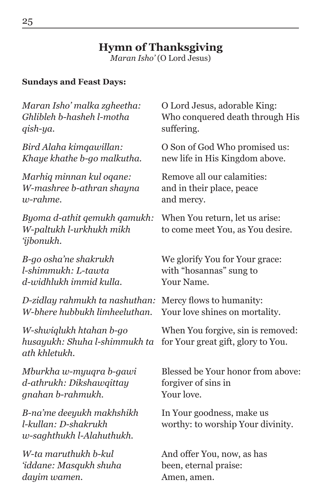### **Hymn of Thanksgiving**

*Maran Isho'* (O Lord Jesus)

### **Sundays and Feast Days:**

| Maran Isho' malka zgheetha:                                                    | O Lord Jesus, adorable King:                                            |
|--------------------------------------------------------------------------------|-------------------------------------------------------------------------|
| Ghlibleh b-hasheh l-motha                                                      | Who conquered death through His                                         |
| qish-ya.                                                                       | suffering.                                                              |
| Bird Alaha kimqawillan:                                                        | O Son of God Who promised us:                                           |
| Khaye khathe b-go malkutha.                                                    | new life in His Kingdom above.                                          |
| Marhiq minnan kul oqane:                                                       | Remove all our calamities:                                              |
| W-mashree b-athran shayna                                                      | and in their place, peace                                               |
| $w$ -rahme.                                                                    | and mercy.                                                              |
| Byoma d-athit qemukh qamukh:<br>W-paltukh l-urkhukh mikh<br>'ijbonukh.         | When You return, let us arise:<br>to come meet You, as You desire.      |
| B-go osha'ne shakrukh                                                          | We glorify You for Your grace:                                          |
| l-shimmukh: L-tawta                                                            | with "hosannas" sung to                                                 |
| d-widhlukh immid kulla.                                                        | Your Name.                                                              |
| D-zidlay rahmukh ta nashuthan:                                                 | Mercy flows to humanity:                                                |
| W-bhere hubbukh limheeluthan.                                                  | Your love shines on mortality.                                          |
| W-shwiglukh htahan b-go<br>husayukh: Shuha l-shimmukh ta<br>ath khletukh.      | When You forgive, sin is removed:<br>for Your great gift, glory to You. |
| Mburkha w-myuqra b-gawi                                                        | Blessed be Your honor from above:                                       |
| d-athrukh: Dikshawqittay                                                       | forgiver of sins in                                                     |
| gnahan b-rahmukh.                                                              | Your love.                                                              |
| B-na'me deeyukh makhshikh<br>l-kullan: D-shakrukh<br>w-saghthukh l-Alahuthukh. | In Your goodness, make us<br>worthy: to worship Your divinity.          |
| W-ta maruthukh b-kul                                                           | And offer You, now, as has                                              |
| 'iddane: Masqukh shuha                                                         | been, eternal praise:                                                   |
| dayim wamen.                                                                   | Amen, amen.                                                             |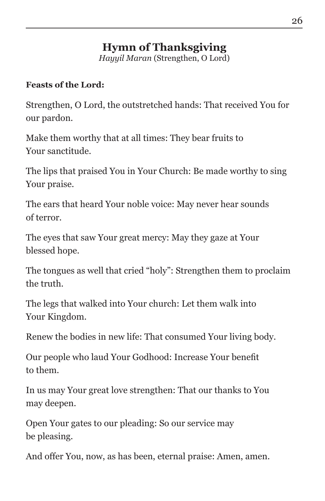## **Hymn of Thanksgiving**

*Hayyil Maran* (Strengthen, O Lord)

### **Feasts of the Lord:**

Strengthen, O Lord, the outstretched hands: That received You for our pardon.

Make them worthy that at all times: They bear fruits to Your sanctitude.

The lips that praised You in Your Church: Be made worthy to sing Your praise.

The ears that heard Your noble voice: May never hear sounds of terror.

The eyes that saw Your great mercy: May they gaze at Your blessed hope.

The tongues as well that cried "holy": Strengthen them to proclaim the truth.

The legs that walked into Your church: Let them walk into Your Kingdom.

Renew the bodies in new life: That consumed Your living body.

Our people who laud Your Godhood: Increase Your benefit to them.

In us may Your great love strengthen: That our thanks to You may deepen.

Open Your gates to our pleading: So our service may be pleasing.

And offer You, now, as has been, eternal praise: Amen, amen.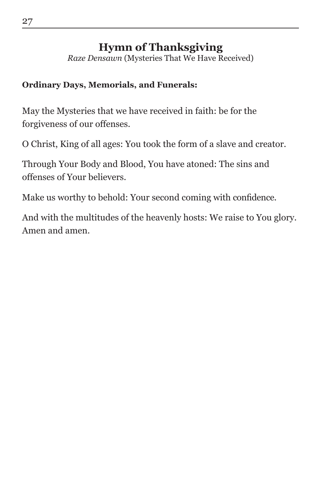### **Hymn of Thanksgiving**

*Raze Densawn* (Mysteries That We Have Received)

### **Ordinary Days, Memorials, and Funerals:**

May the Mysteries that we have received in faith: be for the forgiveness of our offenses.

O Christ, King of all ages: You took the form of a slave and creator.

Through Your Body and Blood, You have atoned: The sins and offenses of Your believers.

Make us worthy to behold: Your second coming with confidence.

And with the multitudes of the heavenly hosts: We raise to You glory. Amen and amen.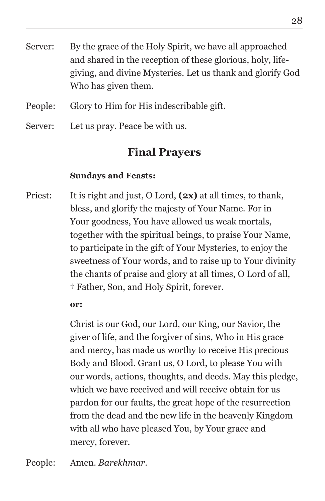- Server: By the grace of the Holy Spirit, we have all approached and shared in the reception of these glorious, holy, lifegiving, and divine Mysteries. Let us thank and glorify God Who has given them.
- People: Glory to Him for His indescribable gift.
- Server: Let us pray. Peace be with us.

### **Final Prayers**

### **Sundays and Feasts:**

Priest: It is right and just, O Lord, **(2x)** at all times, to thank, bless, and glorify the majesty of Your Name. For in Your goodness, You have allowed us weak mortals, together with the spiritual beings, to praise Your Name, to participate in the gift of Your Mysteries, to enjoy the sweetness of Your words, and to raise up to Your divinity the chants of praise and glory at all times, O Lord of all, † Father, Son, and Holy Spirit, forever.

**or:**

Christ is our God, our Lord, our King, our Savior, the giver of life, and the forgiver of sins, Who in His grace and mercy, has made us worthy to receive His precious Body and Blood. Grant us, O Lord, to please You with our words, actions, thoughts, and deeds. May this pledge, which we have received and will receive obtain for us pardon for our faults, the great hope of the resurrection from the dead and the new life in the heavenly Kingdom with all who have pleased You, by Your grace and mercy, forever.

People: Amen. *Barekhmar*.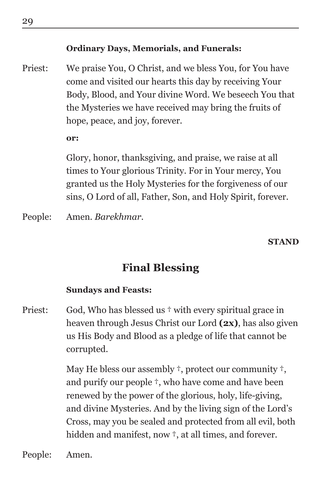### **Ordinary Days, Memorials, and Funerals:**

Priest: We praise You, O Christ, and we bless You, for You have come and visited our hearts this day by receiving Your Body, Blood, and Your divine Word. We beseech You that the Mysteries we have received may bring the fruits of hope, peace, and joy, forever.

**or:**

Glory, honor, thanksgiving, and praise, we raise at all times to Your glorious Trinity. For in Your mercy, You granted us the Holy Mysteries for the forgiveness of our sins, O Lord of all, Father, Son, and Holy Spirit, forever.

People: Amen. *Barekhmar*.

#### **STAND**

### **Final Blessing**

### **Sundays and Feasts:**

Priest: God, Who has blessed us  $\dagger$  with every spiritual grace in heaven through Jesus Christ our Lord **(2x)**, has also given us His Body and Blood as a pledge of life that cannot be corrupted.

> May He bless our assembly †, protect our community †, and purify our people †, who have come and have been renewed by the power of the glorious, holy, life-giving, and divine Mysteries. And by the living sign of the Lord's Cross, may you be sealed and protected from all evil, both hidden and manifest, now  $\dagger$ , at all times, and forever.

People: Amen.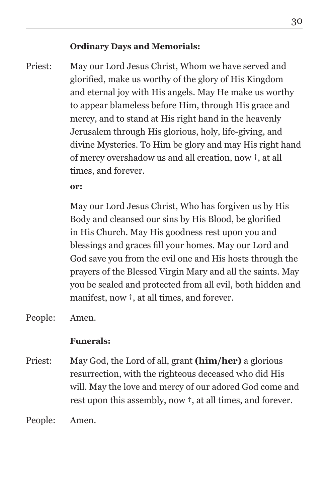### **Ordinary Days and Memorials:**

Priest: May our Lord Jesus Christ, Whom we have served and glorified, make us worthy of the glory of His Kingdom and eternal joy with His angels. May He make us worthy to appear blameless before Him, through His grace and mercy, and to stand at His right hand in the heavenly Jerusalem through His glorious, holy, life-giving, and divine Mysteries. To Him be glory and may His right hand of mercy overshadow us and all creation, now †, at all times, and forever.

**or:**

May our Lord Jesus Christ, Who has forgiven us by His Body and cleansed our sins by His Blood, be glorified in His Church. May His goodness rest upon you and blessings and graces fill your homes. May our Lord and God save you from the evil one and His hosts through the prayers of the Blessed Virgin Mary and all the saints. May you be sealed and protected from all evil, both hidden and manifest, now †, at all times, and forever.

People: Amen.

### **Funerals:**

Priest: May God, the Lord of all, grant **(him/her)** a glorious resurrection, with the righteous deceased who did His will. May the love and mercy of our adored God come and rest upon this assembly, now †, at all times, and forever.

People: Amen.